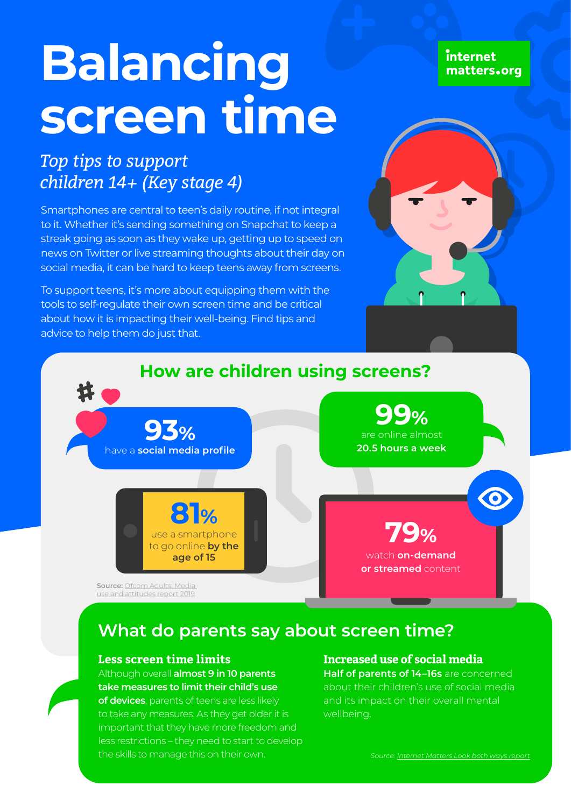# **Balancing screen time**

# *Top tips to support children 14+ (Key stage 4)*

Smartphones are central to teen's daily routine, if not integral to it. Whether it's sending something on Snapchat to keep a streak going as soon as they wake up, getting up to speed on news on Twitter or live streaming thoughts about their day on social media, it can be hard to keep teens away from screens.

To support teens, it's more about equipping them with the tools to self-regulate their own screen time and be critical about how it is impacting their well-being. Find tips and advice to help them do just that.

internet matters.org





## **What do parents say about screen time?**

#### **Less screen time limits**

Although overall **almost 9 in 10 parents take measures to limit their child's use of devices**, parents of teens are less likely to take any measures. As they get older it is important that they have more freedom and less restrictions – they need to start to develop the skills to manage this on their own.

#### **Increased use of social media**

**Half of parents of 14–16s** are concerned about their children's use of social media and its impact on their overall mental wellbeing.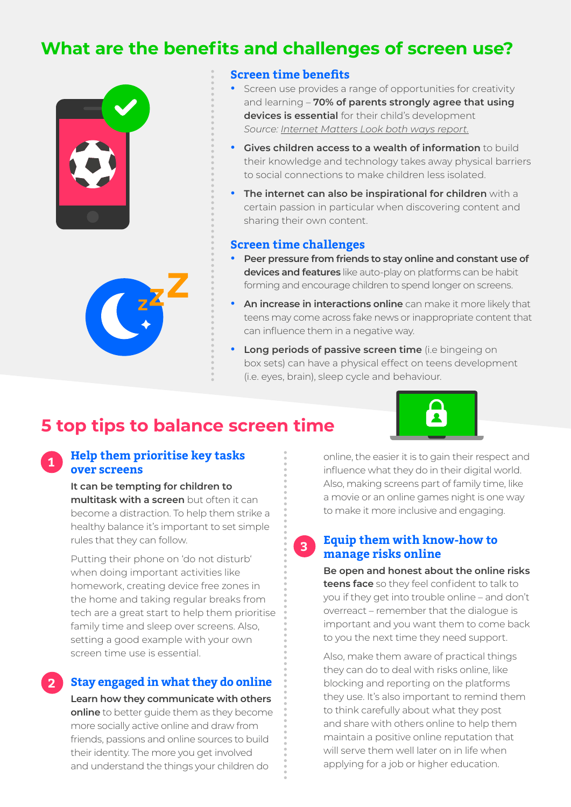## **What are the benefits and challenges of screen use?**





## **Screen time benefits**

- **•** Screen use provides a range of opportunities for creativity and learning – **70% of parents strongly agree that using devices is essential** for their child's development *Source: [Internet Matters Look both ways report](https://www.internetmatters.org/about-us/screen-time-report-2018).*
- **• Gives children access to a wealth of information** to build their knowledge and technology takes away physical barriers to social connections to make children less isolated.
- **• The internet can also be inspirational for children** with a certain passion in particular when discovering content and sharing their own content.

#### **Screen time challenges**

**3**

- **• Peer pressure from friends to stay online and constant use of devices and features** like auto-play on platforms can be habit forming and encourage children to spend longer on screens.
- **An increase in interactions online** can make it more likely that teens may come across fake news or inappropriate content that can influence them in a negative way.
- **• Long periods of passive screen time** (i.e bingeing on box sets) can have a physical effect on teens development (i.e. eyes, brain), sleep cycle and behaviour.

## **5 top tips to balance screen time**

#### **Help them prioritise key tasks over screens 1**

**It can be tempting for children to multitask with a screen** but often it can become a distraction. To help them strike a healthy balance it's important to set simple rules that they can follow.

Putting their phone on 'do not disturb' when doing important activities like homework, creating device free zones in the home and taking regular breaks from tech are a great start to help them prioritise family time and sleep over screens. Also, setting a good example with your own screen time use is essential.

## **Stay engaged in what they do online**

**2**

**Learn how they communicate with others online** to better guide them as they become more socially active online and draw from friends, passions and online sources to build their identity. The more you get involved and understand the things your children do

online, the easier it is to gain their respect and influence what they do in their digital world. Also, making screens part of family time, like a movie or an online games night is one way to make it more inclusive and engaging.

## **Equip them with know-how to manage risks online**

**Be open and honest about the online risks teens face** so they feel confident to talk to you if they get into trouble online – and don't overreact – remember that the dialogue is important and you want them to come back to you the next time they need support.

Also, make them aware of practical things they can do to deal with risks online, like blocking and reporting on the platforms they use. It's also important to remind them to think carefully about what they post and share with others online to help them maintain a positive online reputation that will serve them well later on in life when applying for a job or higher education.